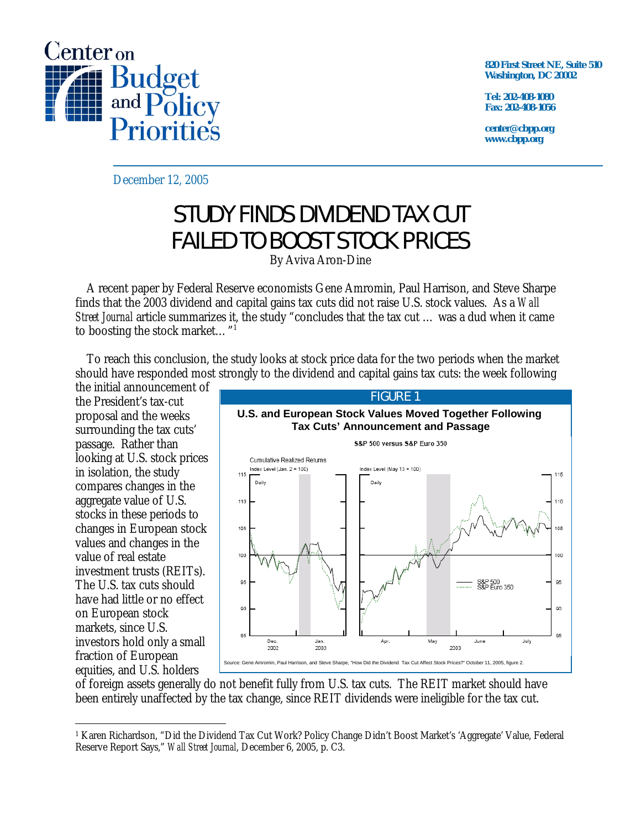

**820 First Street NE, Suite 510 Washington, DC 20002** 

**Tel: 202-408-1080 Fax: 202-408-1056** 

**center@cbpp.org www.cbpp.org** 

December 12, 2005

## STUDY FINDS DIVIDEND TAX CUT FAILED TO BOOST STOCK PRICES

By Aviva Aron-Dine

 A recent paper by Federal Reserve economists Gene Amromin, Paul Harrison, and Steve Sharpe finds that the 2003 dividend and capital gains tax cuts did not raise U.S. stock values. As a *Wall Street Journal* article summarizes it, the study "concludes that the tax cut … was a dud when it came to boosting the stock market…"1

 To reach this conclusion, the study looks at stock price data for the two periods when the market should have responded most strongly to the dividend and capital gains tax cuts: the week following

the initial announcement of the President's tax-cut proposal and the weeks surrounding the tax cuts' passage. Rather than looking at U.S. stock prices in isolation, the study compares changes in the aggregate value of U.S. stocks in these periods to changes in European stock values and changes in the value of real estate investment trusts (REITs). The U.S. tax cuts should have had little or no effect on European stock markets, since U.S. investors hold only a small fraction of European equities, and U.S. holders



of foreign assets generally do not benefit fully from U.S. tax cuts. The REIT market should have been entirely unaffected by the tax change, since REIT dividends were ineligible for the tax cut.

<sup>-</sup>1 Karen Richardson, "Did the Dividend Tax Cut Work? Policy Change Didn't Boost Market's 'Aggregate' Value, Federal Reserve Report Says," *Wall Street Journal*, December 6, 2005, p. C3.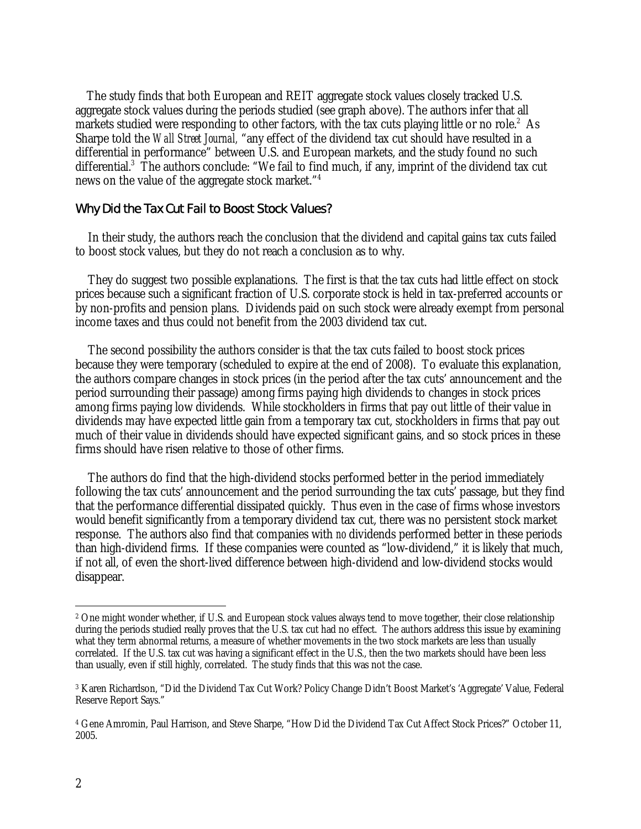The study finds that both European and REIT aggregate stock values closely tracked U.S. aggregate stock values during the periods studied (see graph above). The authors infer that all markets studied were responding to other factors, with the tax cuts playing little or no role.<sup>2</sup> As Sharpe told the *Wall Street Journal,* "any effect of the dividend tax cut should have resulted in a differential in performance" between U.S. and European markets, and the study found no such differential.<sup>3</sup> The authors conclude: "We fail to find much, if any, imprint of the dividend tax cut news on the value of the aggregate stock market."4

## Why Did the Tax Cut Fail to Boost Stock Values?

In their study, the authors reach the conclusion that the dividend and capital gains tax cuts failed to boost stock values, but they do not reach a conclusion as to why.

They do suggest two possible explanations. The first is that the tax cuts had little effect on stock prices because such a significant fraction of U.S. corporate stock is held in tax-preferred accounts or by non-profits and pension plans. Dividends paid on such stock were already exempt from personal income taxes and thus could not benefit from the 2003 dividend tax cut.

The second possibility the authors consider is that the tax cuts failed to boost stock prices because they were temporary (scheduled to expire at the end of 2008). To evaluate this explanation, the authors compare changes in stock prices (in the period after the tax cuts' announcement and the period surrounding their passage) among firms paying high dividends to changes in stock prices among firms paying low dividends. While stockholders in firms that pay out little of their value in dividends may have expected little gain from a temporary tax cut, stockholders in firms that pay out much of their value in dividends should have expected significant gains, and so stock prices in these firms should have risen relative to those of other firms.

The authors do find that the high-dividend stocks performed better in the period immediately following the tax cuts' announcement and the period surrounding the tax cuts' passage, but they find that the performance differential dissipated quickly. Thus even in the case of firms whose investors would benefit significantly from a temporary dividend tax cut, there was no persistent stock market response. The authors also find that companies with *no* dividends performed better in these periods than high-dividend firms. If these companies were counted as "low-dividend," it is likely that much, if not all, of even the short-lived difference between high-dividend and low-dividend stocks would disappear.

 $\overline{a}$ 

<sup>2</sup> One might wonder whether, if U.S. and European stock values always tend to move together, their close relationship during the periods studied really proves that the U.S. tax cut had no effect. The authors address this issue by examining what they term abnormal returns, a measure of whether movements in the two stock markets are less than usually correlated. If the U.S. tax cut was having a significant effect in the U.S., then the two markets should have been less than usually, even if still highly, correlated. The study finds that this was not the case.

<sup>3</sup> Karen Richardson, "Did the Dividend Tax Cut Work? Policy Change Didn't Boost Market's 'Aggregate' Value, Federal Reserve Report Says."

<sup>4</sup> Gene Amromin, Paul Harrison, and Steve Sharpe, "How Did the Dividend Tax Cut Affect Stock Prices?" October 11, 2005.